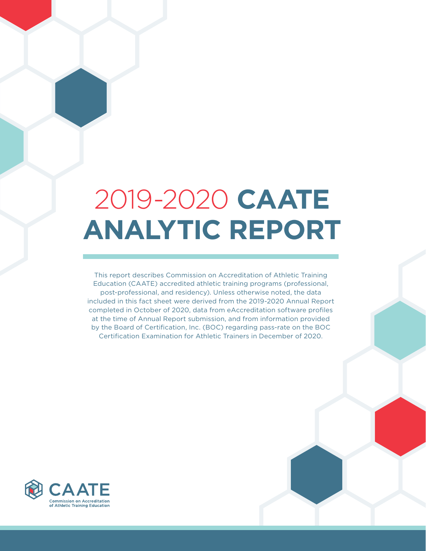# 2019-2020 **CAATE ANALYTIC REPORT**

This report describes Commission on Accreditation of Athletic Training Education (CAATE) accredited athletic training programs (professional, post-professional, and residency). Unless otherwise noted, the data included in this fact sheet were derived from the 2019-2020 Annual Report completed in October of 2020, data from eAccreditation software profiles at the time of Annual Report submission, and from information provided by the Board of Certification, Inc. (BOC) regarding pass-rate on the BOC Certification Examination for Athletic Trainers in December of 2020.

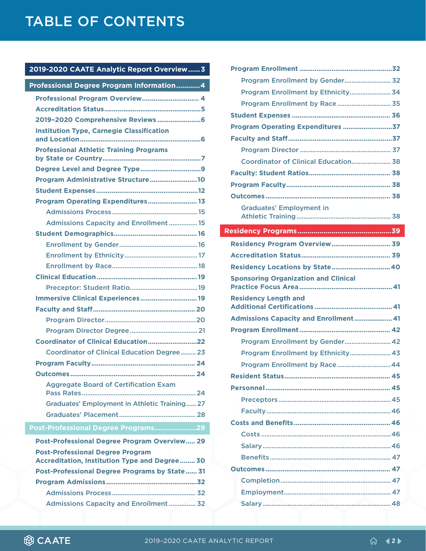#### **[2019-2020 CAATE Analytic Report Overview......3](#page-2-0)**

| Professional Degree Program Information4                                                 |
|------------------------------------------------------------------------------------------|
| Professional Program Overview 4                                                          |
|                                                                                          |
|                                                                                          |
| <b>Institution Type, Carnegie Classification</b>                                         |
| <b>Professional Athletic Training Programs</b>                                           |
| Degree Level and Degree Type9                                                            |
| Program Administrative Structure10                                                       |
|                                                                                          |
| Program Operating Expenditures 13                                                        |
|                                                                                          |
| <b>Admissions Capacity and Enrollment  15</b>                                            |
|                                                                                          |
|                                                                                          |
|                                                                                          |
|                                                                                          |
|                                                                                          |
|                                                                                          |
| Immersive Clinical Experiences 19                                                        |
|                                                                                          |
|                                                                                          |
|                                                                                          |
|                                                                                          |
| <b>Coordinator of Clinical Education Degree  23</b>                                      |
|                                                                                          |
|                                                                                          |
| <b>Aggregate Board of Certification Exam</b>                                             |
| <b>Graduates' Employment in Athletic Training 27</b>                                     |
|                                                                                          |
| Post-Professional Degree Programs29                                                      |
| <b>Post-Professional Degree Program Overview 29</b>                                      |
| <b>Post-Professional Degree Program</b><br>Accreditation, Institution Type and Degree 30 |
| <b>Post-Professional Degree Programs by State 31</b>                                     |
|                                                                                          |
|                                                                                          |

[Admissions Capacity and Enrollment](#page-31-0) ............... 32

| Program Enrollment by Gender 32                                                                       |
|-------------------------------------------------------------------------------------------------------|
| Program Enrollment by Ethnicity 34                                                                    |
| Program Enrollment by Race 35                                                                         |
|                                                                                                       |
| Program Operating Expenditures 37                                                                     |
|                                                                                                       |
|                                                                                                       |
| Coordinator of Clinical Education 38                                                                  |
|                                                                                                       |
|                                                                                                       |
|                                                                                                       |
| <b>Graduates' Employment in</b>                                                                       |
|                                                                                                       |
|                                                                                                       |
| <b>Residency Program Overview 39</b>                                                                  |
|                                                                                                       |
| Residency Locations by State 40                                                                       |
| <b>Sponsoring Organization and Clinical</b>                                                           |
| <b>Residency Length and</b>                                                                           |
|                                                                                                       |
| Admissions Capacity and Enrollment 41                                                                 |
|                                                                                                       |
| Program Enrollment by Gender 42                                                                       |
| Program Enrollment by Ethnicity 43                                                                    |
| Program Enrollment by Race  44                                                                        |
| <b>Resident Status</b><br>$\overline{AB}$ and $\overline{AB}$ and $\overline{AB}$ and $\overline{AB}$ |
|                                                                                                       |
|                                                                                                       |
|                                                                                                       |
|                                                                                                       |
|                                                                                                       |
|                                                                                                       |
|                                                                                                       |
|                                                                                                       |
|                                                                                                       |
|                                                                                                       |
|                                                                                                       |

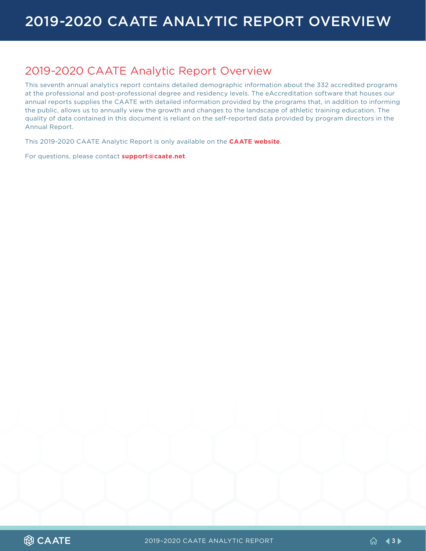### <span id="page-2-0"></span>2019-2020 CAATE Analytic Report Overview

This seventh annual analytics report contains detailed demographic information about the 332 accredited programs at the professional and post-professional degree and residency levels. The eAccreditation software that houses our annual reports supplies the CAATE with detailed information provided by the programs that, in addition to informing the public, allows us to annually view the growth and changes to the landscape of athletic training education. The quality of data contained in this document is reliant on the self-reported data provided by program directors in the Annual Report.

This 2019-2020 CAATE Analytic Report is only available on the **[CAATE website](https://caate.net/resources-and-additional-documents/caate-newsletters-eblasts-and-other-releases/)**.

For questions, please contact **[support@caate.net](mailto:support%40caate.net?subject=)**.

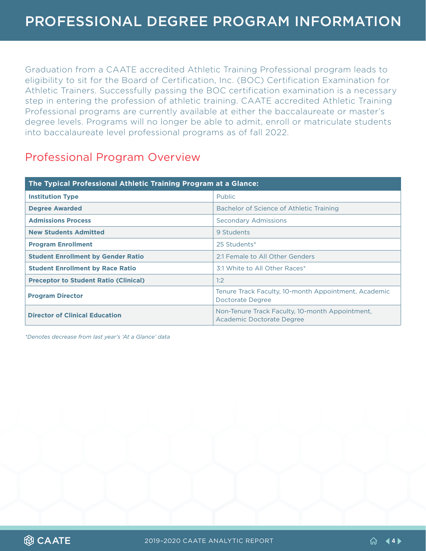<span id="page-3-0"></span>Graduation from a CAATE accredited Athletic Training Professional program leads to eligibility to sit for the Board of Certification, Inc. (BOC) Certification Examination for Athletic Trainers. Successfully passing the BOC certification examination is a necessary step in entering the profession of athletic training. CAATE accredited Athletic Training Professional programs are currently available at either the baccalaureate or master's degree levels. Programs will no longer be able to admit, enroll or matriculate students into baccalaureate level professional programs as of fall 2022.

### Professional Program Overview

| The Typical Professional Athletic Training Program at a Glance: |                                                                              |  |  |  |  |  |
|-----------------------------------------------------------------|------------------------------------------------------------------------------|--|--|--|--|--|
| <b>Institution Type</b>                                         | <b>Public</b>                                                                |  |  |  |  |  |
| <b>Degree Awarded</b>                                           | Bachelor of Science of Athletic Training                                     |  |  |  |  |  |
| <b>Admissions Process</b>                                       | <b>Secondary Admissions</b>                                                  |  |  |  |  |  |
| <b>New Students Admitted</b>                                    | 9 Students                                                                   |  |  |  |  |  |
| <b>Program Enrollment</b>                                       | 25 Students*                                                                 |  |  |  |  |  |
| <b>Student Enrollment by Gender Ratio</b>                       | 2:1 Female to All Other Genders                                              |  |  |  |  |  |
| <b>Student Enrollment by Race Ratio</b>                         | 3:1 White to All Other Races*                                                |  |  |  |  |  |
| <b>Preceptor to Student Ratio (Clinical)</b>                    | 1:2                                                                          |  |  |  |  |  |
| <b>Program Director</b>                                         | Tenure Track Faculty, 10-month Appointment, Academic<br>Doctorate Degree     |  |  |  |  |  |
| <b>Director of Clinical Education</b>                           | Non-Tenure Track Faculty, 10-month Appointment,<br>Academic Doctorate Degree |  |  |  |  |  |

*\*Denotes decrease from last year's 'At a Glance' data*

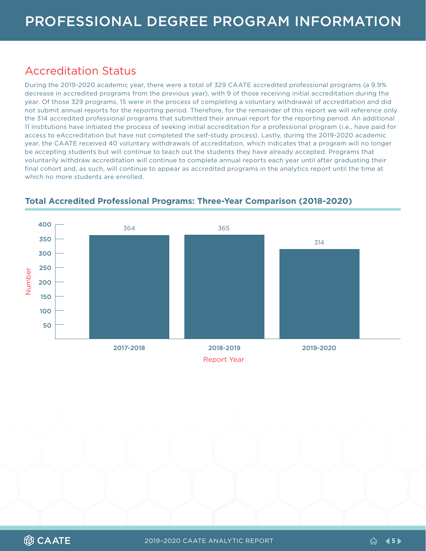### <span id="page-4-0"></span>Accreditation Status

During the 2019-2020 academic year, there were a total of 329 CAATE accredited professional programs (a 9.9% decrease in accredited programs from the previous year), with 9 of those receiving initial accreditation during the year. Of those 329 programs, 15 were in the process of completing a voluntary withdrawal of accreditation and did not submit annual reports for the reporting period. Therefore, for the remainder of this report we will reference only the 314 accredited professional programs that submitted their annual report for the reporting period. An additional 11 institutions have initiated the process of seeking initial accreditation for a professional program (i.e., have paid for access to eAccreditation but have not completed the self-study process). Lastly, during the 2019-2020 academic year, the CAATE received 40 voluntary withdrawals of accreditation, which indicates that a program will no longer be accepting students but will continue to teach out the students they have already accepted. Programs that voluntarily withdraw accreditation will continue to complete annual reports each year until after graduating their final cohort and, as such, will continue to appear as accredited programs in the analytics report until the time at which no more students are enrolled.



#### **Total Accredited Professional Programs: Three-Year Comparison (2018-2020)**

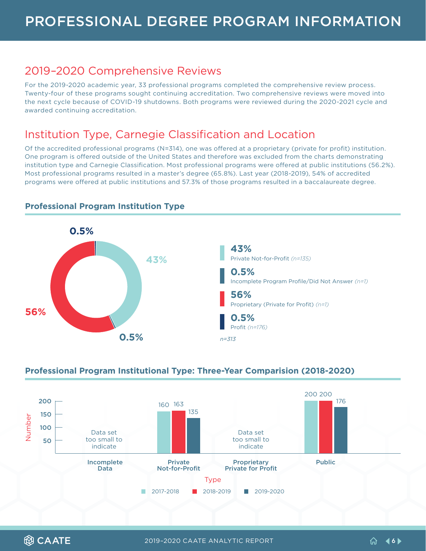### <span id="page-5-0"></span>2019–2020 Comprehensive Reviews

For the 2019-2020 academic year, 33 professional programs completed the comprehensive review process. Twenty-four of these programs sought continuing accreditation. Two comprehensive reviews were moved into the next cycle because of COVID-19 shutdowns. Both programs were reviewed during the 2020-2021 cycle and awarded continuing accreditation.

### Institution Type, Carnegie Classification and Location

Of the accredited professional programs (N=314), one was offered at a proprietary (private for profit) institution. One program is offered outside of the United States and therefore was excluded from the charts demonstrating institution type and Carnegie Classification. Most professional programs were offered at public institutions (56.2%). Most professional programs resulted in a master's degree (65.8%). Last year (2018-2019), 54% of accredited programs were offered at public institutions and 57.3% of those programs resulted in a baccalaureate degree.



**Professional Program Institution Type**

### **Professional Program Institutional Type: Three-Year Comparision (2018-2020)**



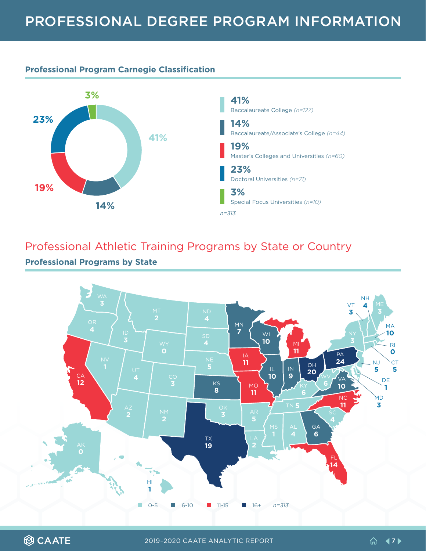#### <span id="page-6-0"></span>**Professional Program Carnegie Classification**



### Professional Athletic Training Programs by State or Country **Professional Programs by State**



**@CAATE**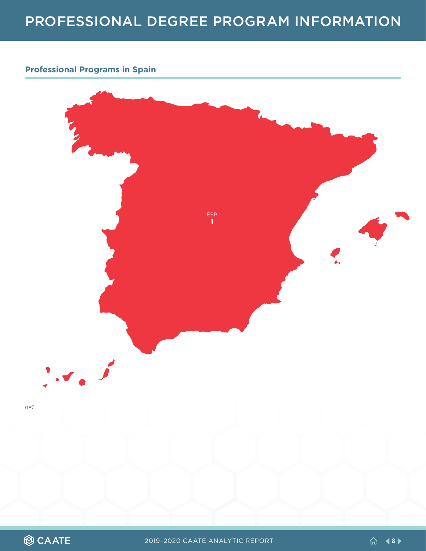#### **Professional Programs in Spain**



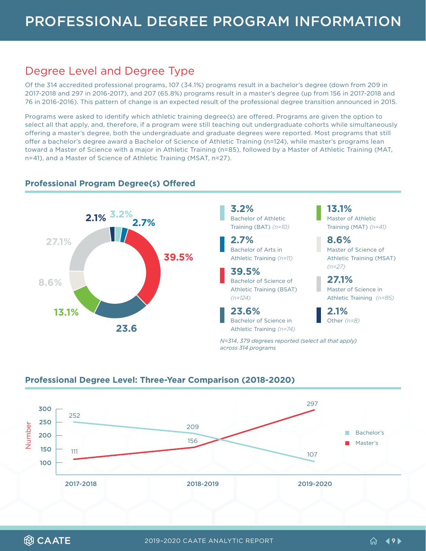### <span id="page-8-0"></span>Degree Level and Degree Type

Of the 314 accredited professional programs, 107 (34.1%) programs result in a bachelor's degree (down from 209 in 2017-2018 and 297 in 2016-2017), and 207 (65.8%) programs result in a master's degree (up from 156 in 2017-2018 and 76 in 2016-2016). This pattern of change is an expected result of the professional degree transition announced in 2015.

Programs were asked to identify which athletic training degree(s) are offered. Programs are given the option to select all that apply, and, therefore, if a program were still teaching out undergraduate cohorts while simultaneously offering a master's degree, both the undergraduate and graduate degrees were reported. Most programs that still offer a bachelor's degree award a Bachelor of Science of Athletic Training (n=124), while master's programs lean toward a Master of Science with a major in Athletic Training (n=85), followed by a Master of Athletic Training (MAT, n=41), and a Master of Science of Athletic Training (MSAT, n=27).



#### **Professional Program Degree(s) Offered**

#### **Professional Degree Level: Three-Year Comparison (2018-2020)**

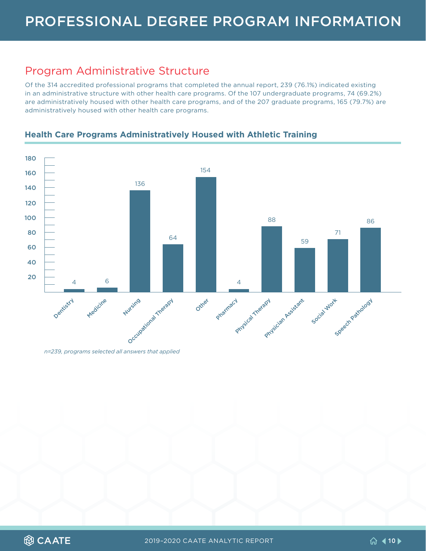### <span id="page-9-0"></span>Program Administrative Structure

Of the 314 accredited professional programs that completed the annual report, 239 (76.1%) indicated existing in an administrative structure with other health care programs. Of the 107 undergraduate programs, 74 (69.2%) are administratively housed with other health care programs, and of the 207 graduate programs, 165 (79.7%) are administratively housed with other health care programs.

**Health Care Programs Administratively Housed with Athletic Training**



*n=239, programs selected all answers that applied*

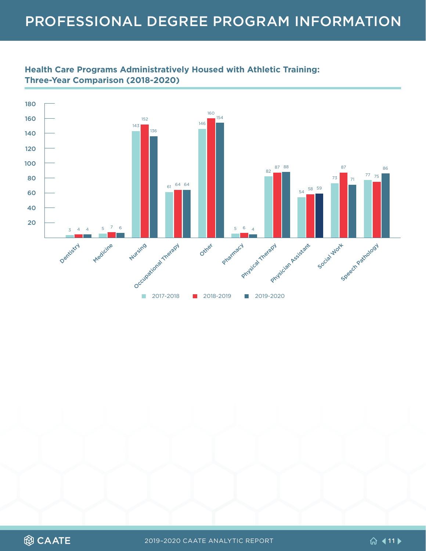

#### **Health Care Programs Administratively Housed with Athletic Training: Three-Year Comparison (2018-2020)**

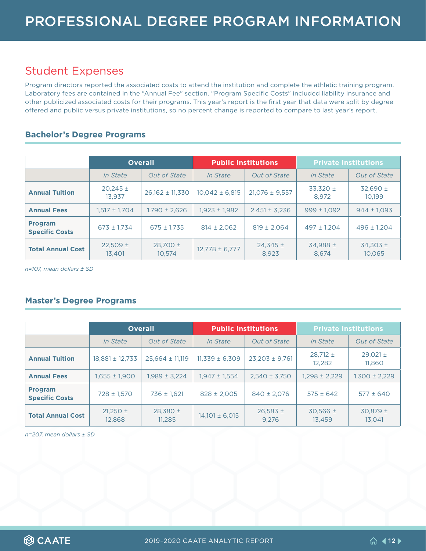### <span id="page-11-0"></span>Student Expenses

Program directors reported the associated costs to attend the institution and complete the athletic training program. Laboratory fees are contained in the "Annual Fee" section. "Program Specific Costs" included liability insurance and other publicized associated costs for their programs. This year's report is the first year that data were split by degree offered and public versus private institutions, so no percent change is reported to compare to last year's report.

#### **Bachelor's Degree Programs**

|                                         | <b>Overall</b>         |                        |                    | <b>Public Institutions</b> | <b>Private Institutions</b> |                        |  |
|-----------------------------------------|------------------------|------------------------|--------------------|----------------------------|-----------------------------|------------------------|--|
|                                         | <i>In State</i>        | Out of State           | <i>In State</i>    | <b>Out of State</b>        | <i>In State</i>             | <b>Out of State</b>    |  |
| <b>Annual Tuition</b>                   | $20,245 \pm$<br>13.937 | $26,162 \pm 11,330$    | $10,042 \pm 6,815$ | $21,076 \pm 9,557$         | $33,320 \pm$<br>8.972       | $32.690 \pm$<br>10.199 |  |
| <b>Annual Fees</b>                      | $1.517 \pm 1.704$      | 1.790 ± 2.626          | $1.923 \pm 1.982$  | $2.451 \pm 3.236$          | $999 \pm 1.092$             | $944 \pm 1.093$        |  |
| <b>Program</b><br><b>Specific Costs</b> | $673 \pm 1.734$        | $675 \pm 1.735$        | $814 \pm 2.062$    | $819 \pm 2.064$            | $497 \pm 1.204$             | $496 \pm 1.204$        |  |
| <b>Total Annual Cost</b>                | $22.509 \pm$<br>13.401 | $28,700 \pm$<br>10.574 | $12,778 \pm 6,777$ | $24,345 \pm$<br>8.923      | $34.988 \pm$<br>8.674       | $34.303 \pm$<br>10.065 |  |

*n=107, mean dollars ± SD*

#### **Master's Degree Programs**

|                                         | <b>Overall</b>         |                        | <b>Public Institutions</b> |                       | <b>Private Institutions</b> |                        |
|-----------------------------------------|------------------------|------------------------|----------------------------|-----------------------|-----------------------------|------------------------|
|                                         | <i>In State</i>        | <b>Out of State</b>    | <i>In State</i>            | <b>Out of State</b>   | <i>In State</i>             | <b>Out of State</b>    |
| <b>Annual Tuition</b>                   | 18,881 ± 12,733        | $25,664 \pm 11,119$    | $11,339 \pm 6,309$         | $23,203 \pm 9,761$    | $28.712 \pm$<br>12.282      | $29,021 \pm$<br>11,860 |
| <b>Annual Fees</b>                      | $1,655 \pm 1,900$      | $1.989 \pm 3.224$      | $1.947 \pm 1.554$          | $2,540 \pm 3,750$     | 1,298 ± 2,229               | $1,300 \pm 2,229$      |
| <b>Program</b><br><b>Specific Costs</b> | 728 ± 1.570            | $736 \pm 1,621$        | $828 \pm 2.005$            | $840 \pm 2,076$       | $575 \pm 642$               | $577 \pm 640$          |
| <b>Total Annual Cost</b>                | $21,250 \pm$<br>12.868 | $28,380 \pm$<br>11.285 | $14,101 \pm 6,015$         | $26,583 \pm$<br>9.276 | $30.566 \pm$<br>13.459      | $30,879 \pm$<br>13.041 |

*n=207, mean dollars ± SD*

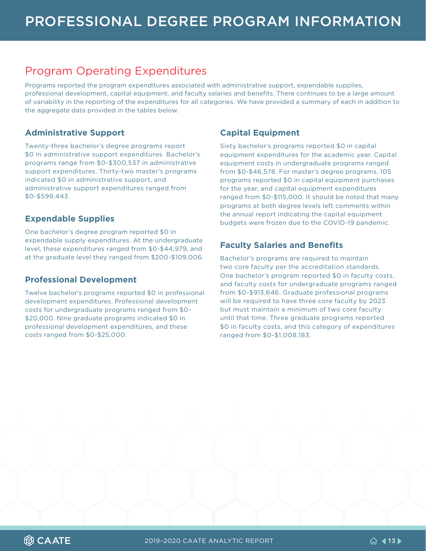### <span id="page-12-0"></span>Program Operating Expenditures

Programs reported the program expenditures associated with administrative support, expendable supplies, professional development, capital equipment, and faculty salaries and benefits. There continues to be a large amount of variability in the reporting of the expenditures for all categories. We have provided a summary of each in addition to the aggregate data provided in the tables below.

#### **Administrative Support**

Twenty-three bachelor's degree programs report \$0 in administrative support expenditures. Bachelor's programs range from \$0-\$300,537 in administrative support expenditures. Thirty-two master's programs indicated \$0 in administrative support, and administrative support expenditures ranged from \$0-\$599,443.

#### **Expendable Supplies**

One bachelor's degree program reported \$0 in expendable supply expenditures. At the undergraduate level, these expenditures ranged from \$0-\$44,979, and at the graduate level they ranged from \$200-\$109,006.

#### **Professional Development**

Twelve bachelor's programs reported \$0 in professional development expenditures. Professional development costs for undergraduate programs ranged from \$0- \$20,000. Nine graduate programs indicated \$0 in professional development expenditures, and these costs ranged from \$0-\$25,000.

#### **Capital Equipment**

Sixty bachelor's programs reported \$0 in capital equipment expenditures for the academic year. Capital equipment costs in undergraduate programs ranged from \$0-\$46,578. For master's degree programs, 105 programs reported \$0 in capital equipment purchases for the year, and capital equipment expenditures ranged from \$0-\$115,000. It should be noted that many programs at both degree levels left comments within the annual report indicating the capital equipment budgets were frozen due to the COVID-19 pandemic.

#### **Faculty Salaries and Benefits**

Bachelor's programs are required to maintain two core faculty per the accreditation standards. One bachelor's program reported \$0 in faculty costs, and faculty costs for undergraduate programs ranged from \$0-\$913,646. Graduate professional programs will be required to have three core faculty by 2023 but must maintain a minimum of two core faculty until that time. Three graduate programs reported \$0 in faculty costs, and this category of expenditures ranged from \$0-\$1,008,183.

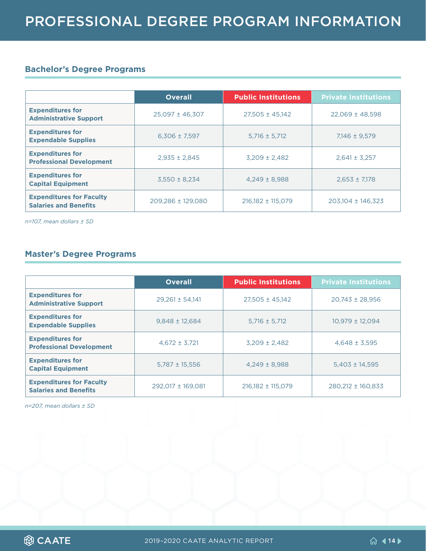#### **Bachelor's Degree Programs**

|                                                                 | <b>Overall</b>      | <b>Public Institutions</b> | <b>Private Institutions</b> |
|-----------------------------------------------------------------|---------------------|----------------------------|-----------------------------|
| <b>Expenditures for</b><br><b>Administrative Support</b>        | $25,097 \pm 46,307$ | $27,505 \pm 45,142$        | $22,069 \pm 48,598$         |
| <b>Expenditures for</b><br><b>Expendable Supplies</b>           | $6.306 \pm 7.597$   | $5,716 \pm 5,712$          | $7.146 \pm 9.579$           |
| <b>Expenditures for</b><br><b>Professional Development</b>      | $2.935 \pm 2.845$   | $3,209 \pm 2,482$          | $2,641 \pm 3,257$           |
| <b>Expenditures for</b><br><b>Capital Equipment</b>             | $3,550 \pm 8,234$   | $4.249 \pm 8.988$          | $2,653 \pm 7,178$           |
| <b>Expenditures for Faculty</b><br><b>Salaries and Benefits</b> | 209,286 ± 129,080   | $216,182 \pm 115,079$      | $203,104 \pm 146,323$       |

*n=107, mean dollars ± SD* 

#### **Master's Degree Programs**

|                                                                 | <b>Overall</b>      | <b>Public Institutions</b> | <b>Private Institutions</b> |
|-----------------------------------------------------------------|---------------------|----------------------------|-----------------------------|
| <b>Expenditures for</b><br><b>Administrative Support</b>        | $29.261 \pm 54.141$ | $27,505 \pm 45,142$        | $20.743 \pm 28.956$         |
| <b>Expenditures for</b><br><b>Expendable Supplies</b>           | $9,848 \pm 12,684$  | $5,716 \pm 5,712$          | $10,979 \pm 12,094$         |
| <b>Expenditures for</b><br><b>Professional Development</b>      | $4,672 \pm 3,721$   | $3,209 \pm 2,482$          | $4,648 \pm 3,595$           |
| <b>Expenditures for</b><br><b>Capital Equipment</b>             | $5,787 \pm 15,556$  | $4.249 \pm 8.988$          | $5,403 \pm 14,595$          |
| <b>Expenditures for Faculty</b><br><b>Salaries and Benefits</b> | 292,017 ± 169,081   | $216,182 \pm 115,079$      | 280,212 ± 160,833           |

*n=207, mean dollars ± SD*

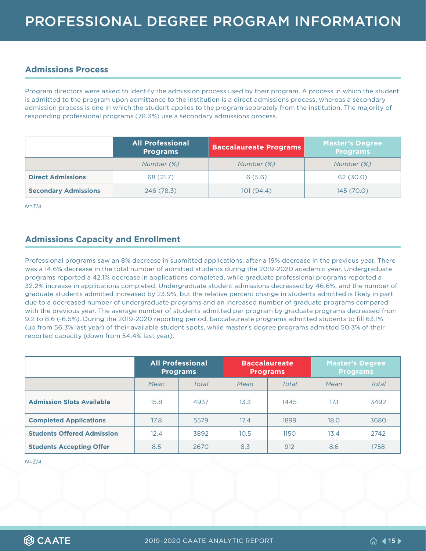#### <span id="page-14-0"></span>**Admissions Process**

Program directors were asked to identify the admission process used by their program. A process in which the student is admitted to the program upon admittance to the institution is a direct admissions process, whereas a secondary admission process is one in which the student applies to the program separately from the institution. The majority of responding professional programs (78.3%) use a secondary admissions process.

|                             | <b>All Professional</b><br><b>Programs</b> | <b>Baccalaureate Programs</b> | <b>Master's Degree</b><br><b>Programs</b> |
|-----------------------------|--------------------------------------------|-------------------------------|-------------------------------------------|
|                             | Number (%)                                 | Number (%)                    | Number (%)                                |
| <b>Direct Admissions</b>    | 68 (21.7)                                  |                               | 62 (30.0)                                 |
| <b>Secondary Admissions</b> | 246 (78.3)                                 | 101(94.4)                     | 145 (70.0)                                |

*N=314*

#### **Admissions Capacity and Enrollment**

Professional programs saw an 8% decrease in submitted applications, after a 19% decrease in the previous year. There was a 14.6% decrease in the total number of admitted students during the 2019-2020 academic year. Undergraduate programs reported a 42.1% decrease in applications completed, while graduate professional programs reported a 32.2% increase in applications completed. Undergraduate student admissions decreased by 46.6%, and the number of graduate students admitted increased by 23.9%, but the relative percent change in students admitted is likely in part due to a decreased number of undergraduate programs and an increased number of graduate programs compared with the previous year. The average number of students admitted per program by graduate programs decreased from 9.2 to 8.6 (-6.5%). During the 2019-2020 reporting period, baccalaureate programs admitted students to fill 63.1% (up from 56.3% last year) of their available student spots, while master's degree programs admitted 50.3% of their reported capacity (down from 54.4% last year).

|                                   | <b>All Professional</b><br><b>Programs</b> |       | <b>Baccalaureate</b><br><b>Programs</b> |       | Master's Degree<br><b>Programs</b> |       |
|-----------------------------------|--------------------------------------------|-------|-----------------------------------------|-------|------------------------------------|-------|
|                                   | Mean                                       | Total | Mean                                    | Total | Mean                               | Total |
| <b>Admission Slots Available</b>  | 15.8                                       | 4937  | 13.3                                    | 1445  | 17.1                               | 3492  |
| <b>Completed Applications</b>     | 17.8                                       | 5579  | 17.4                                    | 1899  | 18.0                               | 3680  |
| <b>Students Offered Admission</b> | 12.4                                       | 3892  | 10.5                                    | 1150  | 13.4                               | 2742  |
| <b>Students Accepting Offer</b>   | 8.5                                        | 2670  | 8.3                                     | 912   | 8.6                                | 1758  |

*N=314*

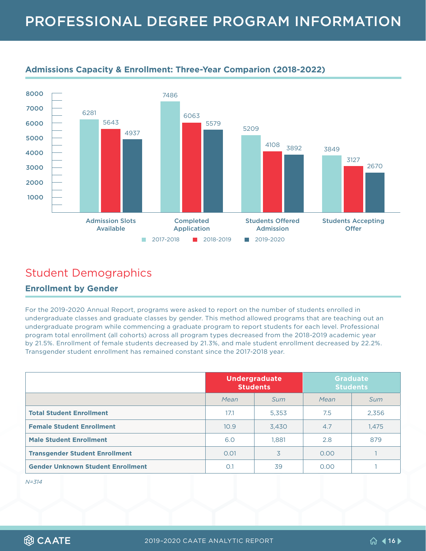

#### <span id="page-15-0"></span>**Admissions Capacity & Enrollment: Three-Year Comparion (2018-2022)**

### Student Demographics

#### **Enrollment by Gender**

For the 2019-2020 Annual Report, programs were asked to report on the number of students enrolled in undergraduate classes and graduate classes by gender. This method allowed programs that are teaching out an undergraduate program while commencing a graduate program to report students for each level. Professional program total enrollment (all cohorts) across all program types decreased from the 2018-2019 academic year by 21.5%. Enrollment of female students decreased by 21.3%, and male student enrollment decreased by 22.2%. Transgender student enrollment has remained constant since the 2017-2018 year.

|                                          | <b>Undergraduate</b><br><b>Students</b> |       |      | <b>Graduate</b><br><b>Students</b> |
|------------------------------------------|-----------------------------------------|-------|------|------------------------------------|
|                                          | Mean                                    | Sum   | Mean | Sum                                |
| <b>Total Student Enrollment</b>          | 17.1                                    | 5,353 | 7.5  | 2,356                              |
| <b>Female Student Enrollment</b>         | 10.9                                    | 3.430 | 4.7  | 1,475                              |
| <b>Male Student Enrollment</b>           | 6.0                                     | 1.881 | 2.8  | 879                                |
| <b>Transgender Student Enrollment</b>    | 0.01                                    | 3     | 0.00 |                                    |
| <b>Gender Unknown Student Enrollment</b> | O.1                                     | 39    | 0.00 |                                    |

*N=314*

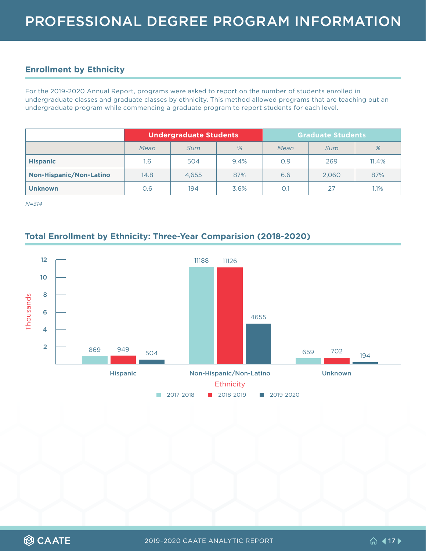#### <span id="page-16-0"></span>**Enrollment by Ethnicity**

For the 2019-2020 Annual Report, programs were asked to report on the number of students enrolled in undergraduate classes and graduate classes by ethnicity. This method allowed programs that are teaching out an undergraduate program while commencing a graduate program to report students for each level.

|                                | <b>Undergraduate Students</b> |            |      |      | <b>Graduate Students</b> |       |
|--------------------------------|-------------------------------|------------|------|------|--------------------------|-------|
|                                | Mean                          | <i>Sum</i> | %    | Mean | Sum                      | %     |
| <b>Hispanic</b>                | 1.6                           | 504        | 9.4% | O.9  | 269                      | 11.4% |
| <b>Non-Hispanic/Non-Latino</b> | 14.8                          | 4.655      | 87%  | 6.6  | 2,060                    | 87%   |
| <b>Unknown</b>                 | O.6                           | 194        | 3.6% | 0.1  | 27                       | 1.1%  |

*N=314*

#### **Total Enrollment by Ethnicity: Three-Year Comparision (2018-2020)**

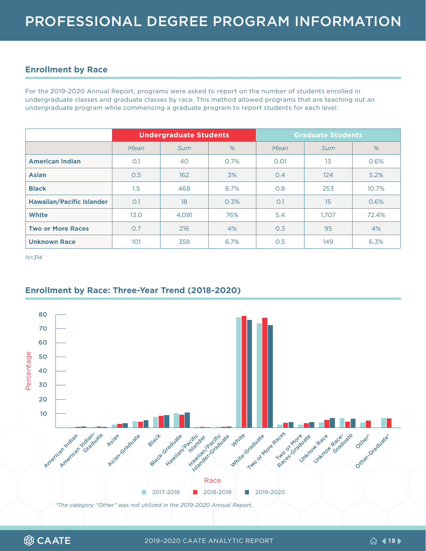#### <span id="page-17-0"></span>**Enrollment by Race**

For the 2019-2020 Annual Report, programs were asked to report on the number of students enrolled in undergraduate classes and graduate classes by race. This method allowed programs that are teaching out an undergraduate program while commencing a graduate program to report students for each level.

|                                  |      | <b>Undergraduate Students</b> |      |      | <b>Graduate Students</b> |       |
|----------------------------------|------|-------------------------------|------|------|--------------------------|-------|
|                                  | Mean | Sum                           | %    | Mean | <b>Sum</b>               | %     |
| <b>American Indian</b>           | O.1  | 40                            | 0.7% | 0.01 | 13                       | 0.6%  |
| <b>Asian</b>                     | 0.5  | 162                           | 3%   | 0.4  | 124                      | 5.2%  |
| <b>Black</b>                     | 1.5  | 468                           | 8.7% | 0.8  | 253                      | 10.7% |
| <b>Hawaiian/Pacific Islander</b> | O.1  | 18                            | 0.3% | O.1  | $15\,$                   | 0.6%  |
| <b>White</b>                     | 13.0 | 4,091                         | 76%  | 5.4  | 1.707                    | 72.4% |
| <b>Two or More Races</b>         | 0.7  | 216                           | 4%   | 0.3  | 95                       | 4%    |
| <b>Unknown Race</b>              | 101  | 358                           | 6.7% | 0.5  | 149                      | 6.3%  |

*N=314*

#### **Enrollment by Race: Three-Year Trend (2018-2020)**



*\*The category "Other" was not utilized in the 2019-2020 Annual Report.*

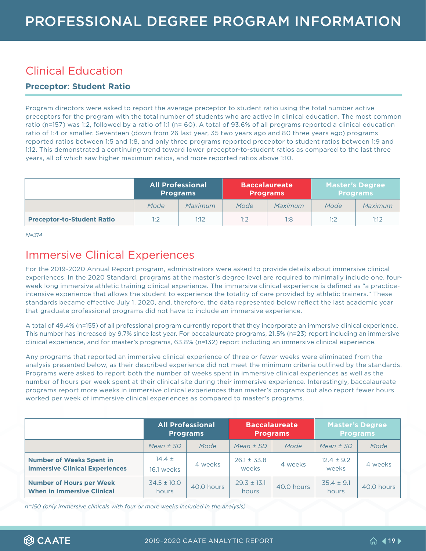### <span id="page-18-0"></span>Clinical Education

#### **Preceptor: Student Ratio**

Program directors were asked to report the average preceptor to student ratio using the total number active preceptors for the program with the total number of students who are active in clinical education. The most common ratio (n=157) was 1:2, followed by a ratio of 1:1 (n= 60). A total of 93.6% of all programs reported a clinical education ratio of 1:4 or smaller. Seventeen (down from 26 last year, 35 two years ago and 80 three years ago) programs reported ratios between 1:5 and 1:8, and only three programs reported preceptor to student ratios between 1:9 and 1:12. This demonstrated a continuing trend toward lower preceptor-to-student ratios as compared to the last three years, all of which saw higher maximum ratios, and more reported ratios above 1:10.

|                                   |      | <b>All Professional</b><br><b>Programs</b> |      | <b>Baccalaureate</b><br><b>Programs</b> | <b>Master's Degree</b><br><b>Programs</b> |         |
|-----------------------------------|------|--------------------------------------------|------|-----------------------------------------|-------------------------------------------|---------|
|                                   | Mode | Maximum                                    | Mode | Maximum                                 | Mode                                      | Maximum |
| <b>Preceptor-to-Student Ratio</b> | 1:2  | 1:12                                       | 1:2  | 1:8                                     | 1:2                                       | 1:12    |

*N=314*

### Immersive Clinical Experiences

For the 2019-2020 Annual Report program, administrators were asked to provide details about immersive clinical experiences. In the 2020 Standard, programs at the master's degree level are required to minimally include one, fourweek long immersive athletic training clinical experience. The immersive clinical experience is defined as "a practiceintensive experience that allows the student to experience the totality of care provided by athletic trainers." These standards became effective July 1, 2020, and, therefore, the data represented below reflect the last academic year that graduate professional programs did not have to include an immersive experience.

A total of 49.4% (n=155) of all professional program currently report that they incorporate an immersive clinical experience. This number has increased by 9.7% since last year. For baccalaureate programs, 21.5% (n=23) report including an immersive clinical experience, and for master's programs, 63.8% (n=132) report including an immersive clinical experience.

Any programs that reported an immersive clinical experience of three or fewer weeks were eliminated from the analysis presented below, as their described experience did not meet the minimum criteria outlined by the standards. Programs were asked to report both the number of weeks spent in immersive clinical experiences as well as the number of hours per week spent at their clinical site during their immersive experience. Interestingly, baccalaureate programs report more weeks in immersive clinical experiences than master's programs but also report fewer hours worked per week of immersive clinical experiences as compared to master's programs.

|                                                                          | <b>All Professional</b><br><b>Programs</b> |            | <b>Baccalaureate</b><br><b>Programs</b> |            | <b>Master's Degree</b><br><b>Programs</b> |            |
|--------------------------------------------------------------------------|--------------------------------------------|------------|-----------------------------------------|------------|-------------------------------------------|------------|
|                                                                          | Mean $\pm$ SD                              | Mode       | Mean $\pm$ SD                           | Mode       | Mean $\pm$ SD                             | Mode       |
| <b>Number of Weeks Spent in</b><br><b>Immersive Clinical Experiences</b> | $14.4 \pm$<br>16.1 weeks                   | 4 weeks    | $26.1 \pm 33.8$<br>weeks                | 4 weeks    | $12.4 \pm 9.2$<br>weeks                   | 4 weeks    |
| <b>Number of Hours per Week</b><br><b>When in Immersive Clinical</b>     | $34.5 \pm 10.0$<br>hours                   | 40.0 hours | $29.3 \pm 13.1$<br>hours                | 40.0 hours | $35.4 \pm 9.1$<br>hours                   | 40.0 hours |

*n=150 (only immersive clinicals with four or more weeks included in the analysis)*

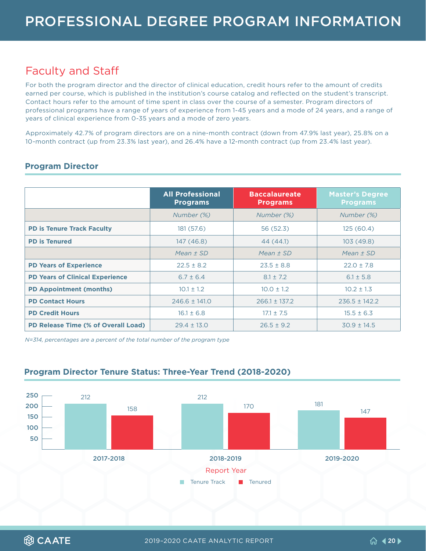### <span id="page-19-0"></span>Faculty and Staff

For both the program director and the director of clinical education, credit hours refer to the amount of credits earned per course, which is published in the institution's course catalog and reflected on the student's transcript. Contact hours refer to the amount of time spent in class over the course of a semester. Program directors of professional programs have a range of years of experience from 1-45 years and a mode of 24 years, and a range of years of clinical experience from 0-35 years and a mode of zero years.

Approximately 42.7% of program directors are on a nine-month contract (down from 47.9% last year), 25.8% on a 10-month contract (up from 23.3% last year), and 26.4% have a 12-month contract (up from 23.4% last year).

|                                            | <b>All Professional</b><br><b>Programs</b> | <b>Baccalaureate</b><br><b>Programs</b> | <b>Master's Degree</b><br><b>Programs</b> |
|--------------------------------------------|--------------------------------------------|-----------------------------------------|-------------------------------------------|
|                                            | Number (%)                                 | Number (%)                              | Number (%)                                |
| <b>PD is Tenure Track Faculty</b>          | 181 (57.6)                                 | 56 (52.3)                               | 125(60.4)                                 |
| <b>PD is Tenured</b>                       | 147 (46.8)                                 | 44 (44.1)                               | 103 (49.8)                                |
|                                            | Mean $\pm$ SD                              | Mean $\pm$ SD                           | Mean $±$ SD                               |
| <b>PD Years of Experience</b>              | $22.5 \pm 8.2$                             | $23.5 \pm 8.8$                          | $22.0 \pm 7.8$                            |
| <b>PD Years of Clinical Experience</b>     | $6.7 \pm 6.4$                              | $8.1 \pm 7.2$                           | $6.1 \pm 5.8$                             |
| <b>PD Appointment (months)</b>             | $10.1 \pm 1.2$                             | $10.0 \pm 1.2$                          | $10.2 \pm 1.3$                            |
| <b>PD Contact Hours</b>                    | $246.6 \pm 141.0$                          | $266.1 \pm 137.2$                       | $236.5 \pm 142.2$                         |
| <b>PD Credit Hours</b>                     | $16.1 \pm 6.8$                             | $17.1 \pm 7.5$                          | $15.5 \pm 6.3$                            |
| <b>PD Release Time (% of Overall Load)</b> | $29.4 \pm 13.0$                            | $26.5 \pm 9.2$                          | $30.9 \pm 14.5$                           |

#### **Program Director**

*N=314, percentages are a percent of the total number of the program type*



#### **Program Director Tenure Status: Three-Year Trend (2018-2020)**

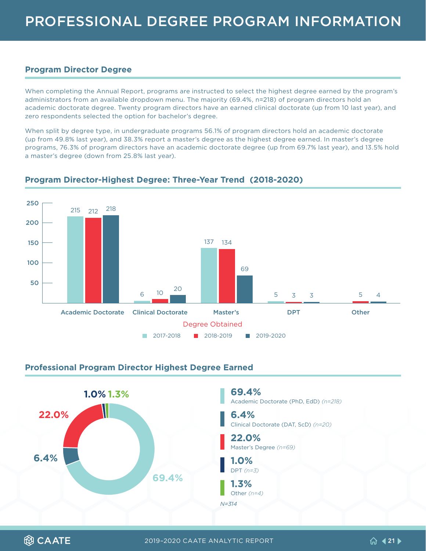#### <span id="page-20-0"></span>**Program Director Degree**

When completing the Annual Report, programs are instructed to select the highest degree earned by the program's administrators from an available dropdown menu. The majority (69.4%, n=218) of program directors hold an academic doctorate degree. Twenty program directors have an earned clinical doctorate (up from 10 last year), and zero respondents selected the option for bachelor's degree.

When split by degree type, in undergraduate programs 56.1% of program directors hold an academic doctorate (up from 49.8% last year), and 38.3% report a master's degree as the highest degree earned. In master's degree programs, 76.3% of program directors have an academic doctorate degree (up from 69.7% last year), and 13.5% hold a master's degree (down from 25.8% last year).



#### **Program Director-Highest Degree: Three-Year Trend (2018-2020)**

#### **Professional Program Director Highest Degree Earned**

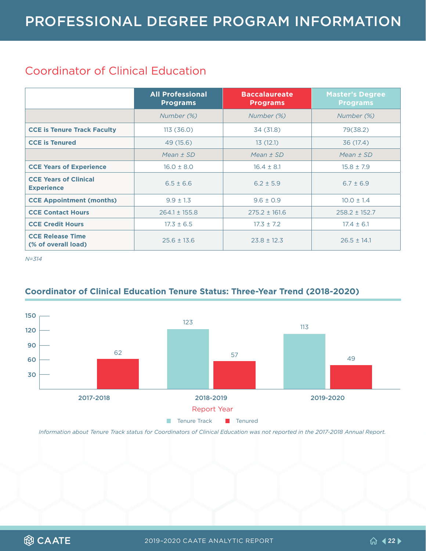### <span id="page-21-0"></span>Coordinator of Clinical Education

|                                                   | <b>All Professional</b><br><b>Programs</b> | <b>Baccalaureate</b><br><b>Programs</b> | <b>Master's Degree</b><br><b>Programs</b> |
|---------------------------------------------------|--------------------------------------------|-----------------------------------------|-------------------------------------------|
|                                                   | Number (%)                                 | Number (%)                              | Number (%)                                |
| <b>CCE is Tenure Track Faculty</b>                | 113(36.0)                                  | 34 (31.8)                               | 79(38.2)                                  |
| <b>CCE is Tenured</b>                             | 49 (15.6)                                  | 13(12.1)                                | 36 (17.4)                                 |
|                                                   | Mean $\pm$ SD                              | Mean $\pm$ SD                           | Mean $\pm$ SD                             |
| <b>CCE Years of Experience</b>                    | $16.0 \pm 8.0$                             | $16.4 \pm 8.1$                          | $15.8 \pm 7.9$                            |
| <b>CCE Years of Clinical</b><br><b>Experience</b> | $6.5 \pm 6.6$                              | $6.2 \pm 5.9$                           | $6.7 \pm 6.9$                             |
| <b>CCE Appointment (months)</b>                   | $9.9 \pm 1.3$                              | $9.6 \pm 0.9$                           | $10.0 \pm 1.4$                            |
| <b>CCE Contact Hours</b>                          | $264.1 \pm 155.8$                          | $275.2 \pm 161.6$                       | $258.2 \pm 152.7$                         |
| <b>CCE Credit Hours</b>                           | $17.3 \pm 6.5$                             | $17.3 \pm 7.2$                          | $17.4 \pm 6.1$                            |
| <b>CCE Release Time</b><br>(% of overall load)    | $25.6 \pm 13.6$                            | $23.8 \pm 12.3$                         | $26.5 \pm 14.1$                           |

*N=314*



#### **Coordinator of Clinical Education Tenure Status: Three-Year Trend (2018-2020)**

*Information about Tenure Track status for Coordinators of Clinical Education was not reported in the 2017-2018 Annual Report.*

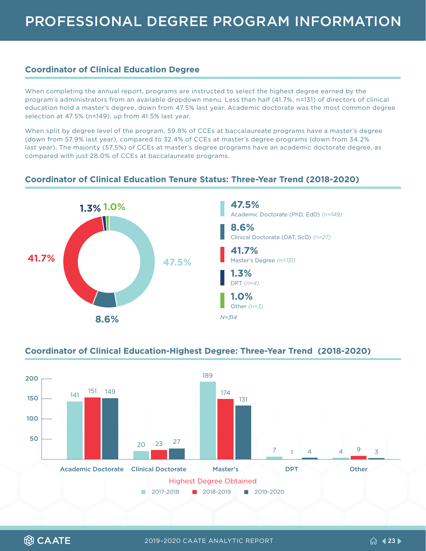#### <span id="page-22-0"></span>**Coordinator of Clinical Education Degree**

When completing the annual report, programs are instructed to select the highest degree earned by the program's administrators from an available dropdown menu. Less than half (41.7%, n=131) of directors of clinical education hold a master's degree, down from 47.5% last year. Academic doctorate was the most common degree selection at 47.5% (n=149), up from 41.5% last year.

When split by degree level of the program, 59.8% of CCEs at baccalaureate programs have a master's degree (down from 57.9% last year), compared to 32.4% of CCEs at master's degree programs (down from 34.2% last year). The majority (57.5%) of CCEs at master's degree programs have an academic doctorate degree, as compared with just 28.0% of CCEs at baccalaureate programs.



#### **Coordinator of Clinical Education Tenure Status: Three-Year Trend (2018-2020)**

#### **Coordinator of Clinical Education-Highest Degree: Three-Year Trend (2018-2020)**



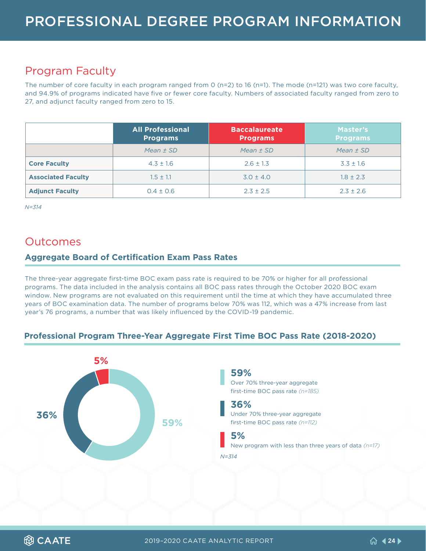### <span id="page-23-0"></span>Program Faculty

The number of core faculty in each program ranged from 0 (n=2) to 16 (n=1). The mode (n=121) was two core faculty, and 94.9% of programs indicated have five or fewer core faculty. Numbers of associated faculty ranged from zero to 27, and adjunct faculty ranged from zero to 15.

|                           | <b>All Professional</b><br><b>Programs</b> | <b>Baccalaureate</b><br><b>Programs</b> | Master's<br><b>Programs</b> |
|---------------------------|--------------------------------------------|-----------------------------------------|-----------------------------|
|                           | Mean $\pm$ SD                              | Mean $\pm$ SD                           | Mean $\pm$ SD               |
| <b>Core Faculty</b>       | $4.3 \pm 1.6$                              | $2.6 \pm 1.3$                           | $3.3 \pm 1.6$               |
| <b>Associated Faculty</b> | $1.5 \pm 1.1$                              | $3.0 \pm 4.0$                           | $1.8 \pm 2.3$               |
| <b>Adjunct Faculty</b>    | $0.4 \pm 0.6$                              | $2.3 \pm 2.5$                           | $2.3 \pm 2.6$               |

*N=314*

### **Outcomes**

#### **Aggregate Board of Certification Exam Pass Rates**

The three-year aggregate first-time BOC exam pass rate is required to be 70% or higher for all professional programs. The data included in the analysis contains all BOC pass rates through the October 2020 BOC exam window. New programs are not evaluated on this requirement until the time at which they have accumulated three years of BOC examination data. The number of programs below 70% was 112, which was a 47% increase from last year's 76 programs, a number that was likely influenced by the COVID-19 pandemic.

#### **Professional Program Three-Year Aggregate First Time BOC Pass Rate (2018-2020)**



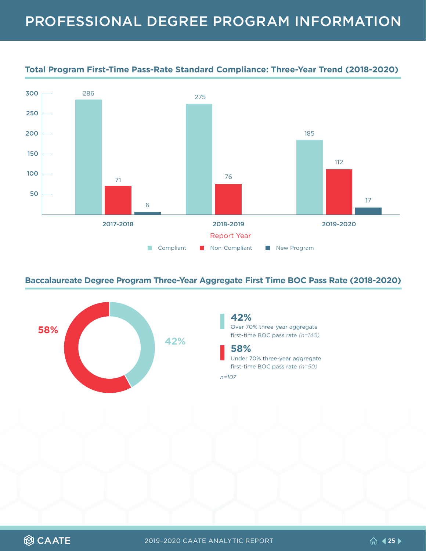

#### **Total Program First-Time Pass-Rate Standard Compliance: Three-Year Trend (2018-2020)**

#### **Baccalaureate Degree Program Three-Year Aggregate First Time BOC Pass Rate (2018-2020)**



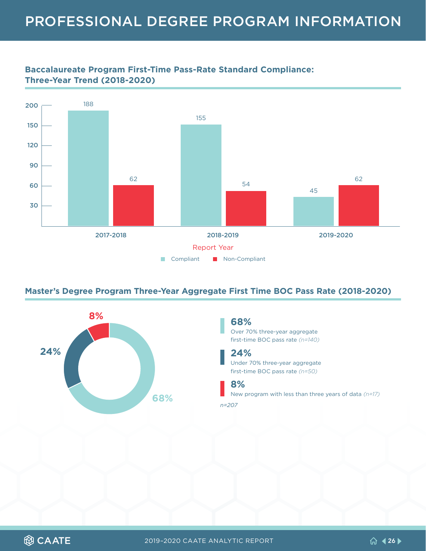



#### **Master's Degree Program Three-Year Aggregate First Time BOC Pass Rate (2018-2020)**



#### **68%**

Over 70% three-year aggregate first-time BOC pass rate *(n=140)*

#### **24%**

Under 70% three-year aggregate first-time BOC pass rate *(n=50)*

#### **8%**

New program with less than three years of data *(n=17)* **68%** *n=207*

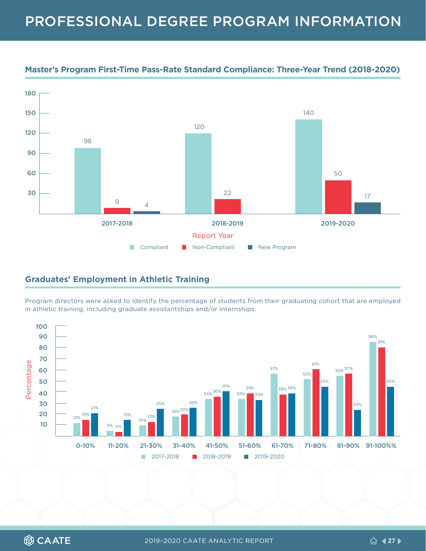

#### <span id="page-26-0"></span>**Master's Program First-Time Pass-Rate Standard Compliance: Three-Year Trend (2018-2020)**

#### **Graduates' Employment in Athletic Training**

Program directors were asked to identify the percentage of students from their graduating cohort that are employed in athletic training, including graduate assistantships and/or internships.

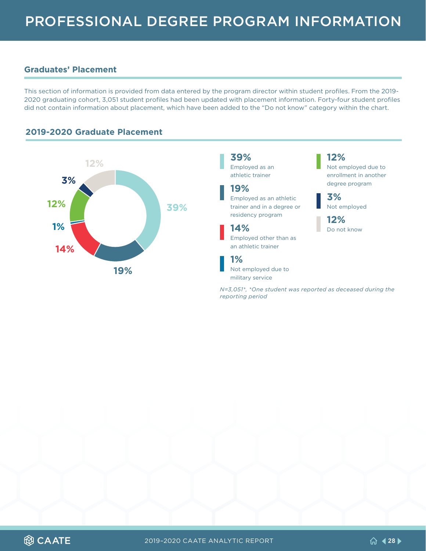#### <span id="page-27-0"></span>**Graduates' Placement**

This section of information is provided from data entered by the program director within student profiles. From the 2019- 2020 graduating cohort, 3,051 student profiles had been updated with placement information. Forty-four student profiles did not contain information about placement, which have been added to the "Do not know" category within the chart.



#### **2019-2020 Graduate Placement**

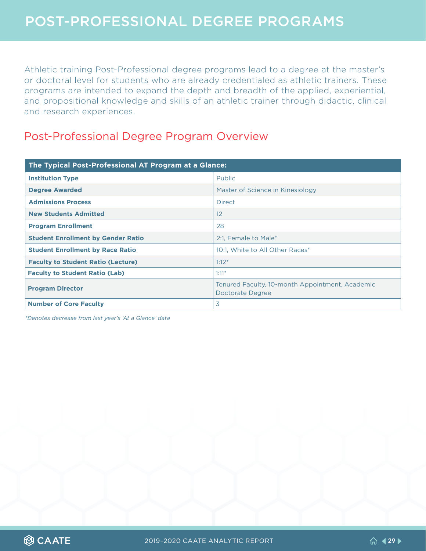<span id="page-28-0"></span>Athletic training Post-Professional degree programs lead to a degree at the master's or doctoral level for students who are already credentialed as athletic trainers. These programs are intended to expand the depth and breadth of the applied, experiential, and propositional knowledge and skills of an athletic trainer through didactic, clinical and research experiences.

### Post-Professional Degree Program Overview

| The Typical Post-Professional AT Program at a Glance: |                                                                     |  |  |
|-------------------------------------------------------|---------------------------------------------------------------------|--|--|
| <b>Institution Type</b>                               | <b>Public</b>                                                       |  |  |
| <b>Degree Awarded</b>                                 | Master of Science in Kinesiology                                    |  |  |
| <b>Admissions Process</b>                             | <b>Direct</b>                                                       |  |  |
| <b>New Students Admitted</b>                          | 12                                                                  |  |  |
| <b>Program Enrollment</b>                             | 28                                                                  |  |  |
| <b>Student Enrollment by Gender Ratio</b>             | 2:1, Female to Male*                                                |  |  |
| <b>Student Enrollment by Race Ratio</b>               | 10:1, White to All Other Races*                                     |  |  |
| <b>Faculty to Student Ratio (Lecture)</b>             | $1:12*$                                                             |  |  |
| <b>Faculty to Student Ratio (Lab)</b>                 | $1:11*$                                                             |  |  |
| <b>Program Director</b>                               | Tenured Faculty, 10-month Appointment, Academic<br>Doctorate Degree |  |  |
| <b>Number of Core Faculty</b>                         | 3                                                                   |  |  |

*\*Denotes decrease from last year's 'At a Glance' data*

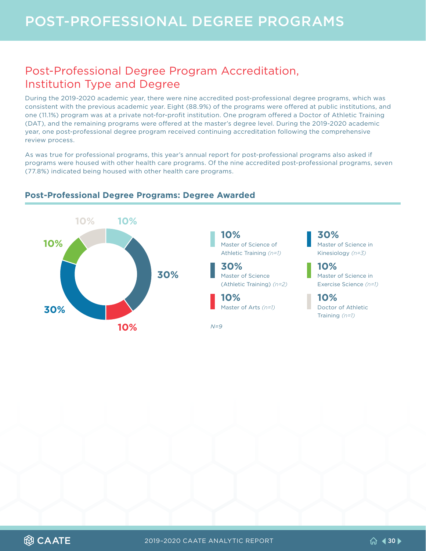### <span id="page-29-0"></span>Post-Professional Degree Program Accreditation, Institution Type and Degree

During the 2019-2020 academic year, there were nine accredited post-professional degree programs, which was consistent with the previous academic year. Eight (88.9%) of the programs were offered at public institutions, and one (11.1%) program was at a private not-for-profit institution. One program offered a Doctor of Athletic Training (DAT), and the remaining programs were offered at the master's degree level. During the 2019-2020 academic year, one post-professional degree program received continuing accreditation following the comprehensive review process.

As was true for professional programs, this year's annual report for post-professional programs also asked if programs were housed with other health care programs. Of the nine accredited post-professional programs, seven (77.8%) indicated being housed with other health care programs.



#### **Post-Professional Degree Programs: Degree Awarded**

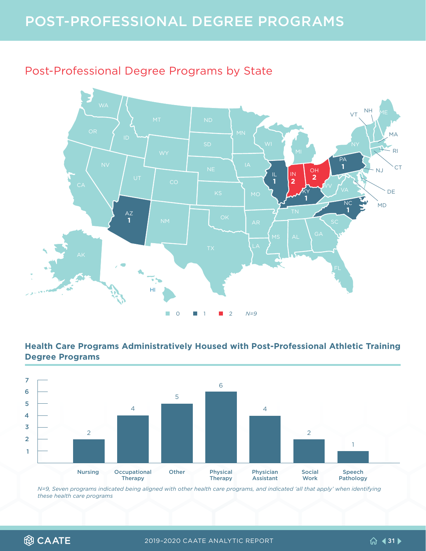# <span id="page-30-0"></span>POST-PROFESSIONAL DEGREE PROGRAMS

### Post-Professional Degree Programs by State



#### **Health Care Programs Administratively Housed with Post-Professional Athletic Training Degree Programs**



*N=9, Seven programs indicated being aligned with other health care programs, and indicated 'all that apply' when identifying these health care programs*

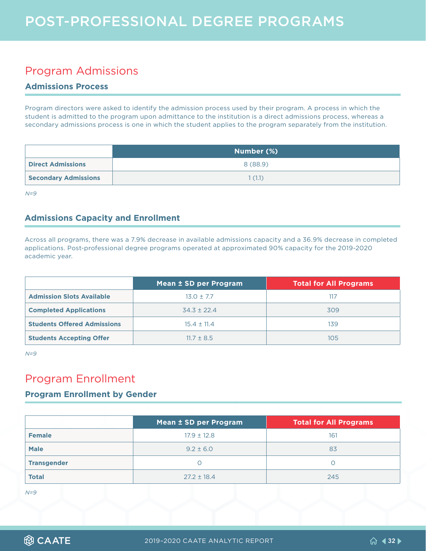### <span id="page-31-0"></span>Program Admissions

#### **Admissions Process**

Program directors were asked to identify the admission process used by their program. A process in which the student is admitted to the program upon admittance to the institution is a direct admissions process, whereas a secondary admissions process is one in which the student applies to the program separately from the institution.

|                             | Number (%) |
|-----------------------------|------------|
| <b>Direct Admissions</b>    | 8(88.9)    |
| <b>Secondary Admissions</b> | 1(1,1)     |

*N=9*

#### **Admissions Capacity and Enrollment**

Across all programs, there was a 7.9% decrease in available admissions capacity and a 36.9% decrease in completed applications. Post-professional degree programs operated at approximated 90% capacity for the 2019-2020 academic year.

|                                    | Mean ± SD per Program | <b>Total for All Programs</b> |
|------------------------------------|-----------------------|-------------------------------|
| <b>Admission Slots Available</b>   | $13.0 \pm 7.7$        | 117                           |
| <b>Completed Applications</b>      | $34.3 \pm 22.4$       | 309                           |
| <b>Students Offered Admissions</b> | $15.4 \pm 11.4$       | 139                           |
| <b>Students Accepting Offer</b>    | $11.7 \pm 8.5$        | 105                           |

*N=9*

### Program Enrollment

#### **Program Enrollment by Gender**

|                    | Mean ± SD per Program | Total for All Programs |
|--------------------|-----------------------|------------------------|
| <b>Female</b>      | $17.9 \pm 12.8$       | 161                    |
| <b>Male</b>        | $9.2 \pm 6.0$         | 83                     |
| <b>Transgender</b> |                       |                        |
| <b>Total</b>       | $27.2 \pm 18.4$       | 245                    |

*N=9*

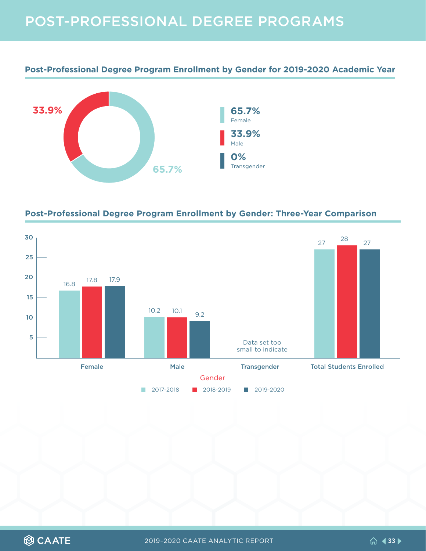# POST-PROFESSIONAL DEGREE PROGRAMS

**Post-Professional Degree Program Enrollment by Gender for 2019-2020 Academic Year**



#### **Post-Professional Degree Program Enrollment by Gender: Three-Year Comparison**

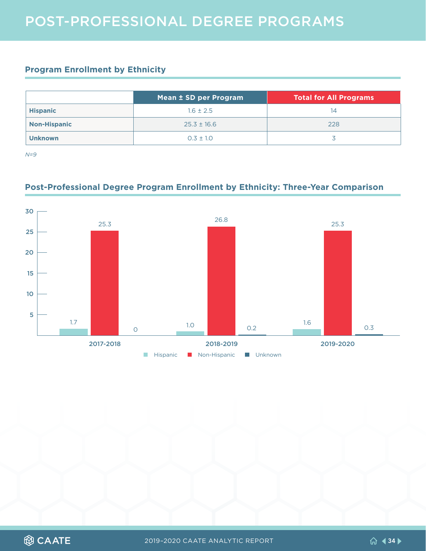#### <span id="page-33-0"></span>**Program Enrollment by Ethnicity**

|                     | Mean ± SD per Program | <b>Total for All Programs</b> |
|---------------------|-----------------------|-------------------------------|
| <b>Hispanic</b>     | $1.6 \pm 2.5$         | 14                            |
| <b>Non-Hispanic</b> | $25.3 \pm 16.6$       | 228                           |
| <b>Unknown</b>      | $0.3 \pm 1.0$         |                               |

*N=9*

#### **Post-Professional Degree Program Enrollment by Ethnicity: Three-Year Comparison**



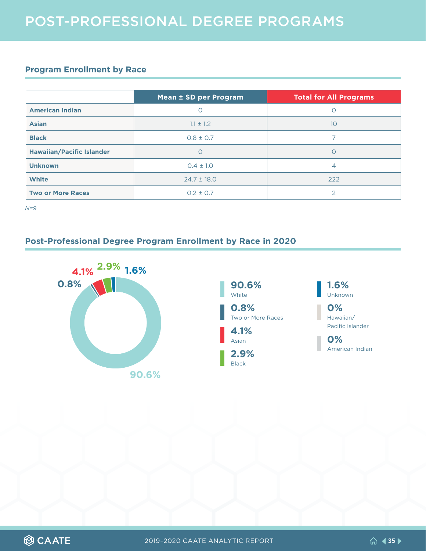#### <span id="page-34-0"></span>**Program Enrollment by Race**

|                                  | Mean ± SD per Program | <b>Total for All Programs</b> |
|----------------------------------|-----------------------|-------------------------------|
| <b>American Indian</b>           |                       | Ο                             |
| <b>Asian</b>                     | $1.1 \pm 1.2$         | 10 <sup>°</sup>               |
| <b>Black</b>                     | $0.8 \pm 0.7$         |                               |
| <b>Hawaiian/Pacific Islander</b> | O                     | 0                             |
| <b>Unknown</b>                   | $0.4 \pm 1.0$         | $\overline{4}$                |
| <b>White</b>                     | $24.7 \pm 18.0$       | 222                           |
| <b>Two or More Races</b>         | $0.2 \pm 0.7$         | っ                             |

*N=9* 

#### **Post-Professional Degree Program Enrollment by Race in 2020**







Hawaiian/ Pacific Islander

**0%**  American Indian

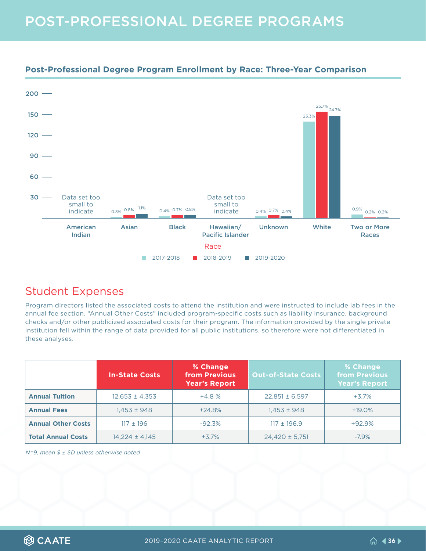## <span id="page-35-0"></span>POST-PROFESSIONAL DEGREE PROGRAMS



#### **Post-Professional Degree Program Enrollment by Race: Three-Year Comparison**

### Student Expenses

Program directors listed the associated costs to attend the institution and were instructed to include lab fees in the annual fee section. "Annual Other Costs" included program-specific costs such as liability insurance, background checks and/or other publicized associated costs for their program. The information provided by the single private institution fell within the range of data provided for all public institutions, so therefore were not differentiated in these analyses.

|                           | <b>In-State Costs</b> | % Change<br>from Previous<br><b>Year's Report</b> | <b>Out-of-State Costs</b> | % Change<br><b>from Previous</b><br><b>Year's Report</b> |
|---------------------------|-----------------------|---------------------------------------------------|---------------------------|----------------------------------------------------------|
| <b>Annual Tuition</b>     | $12,653 \pm 4,353$    | $+4.8%$                                           | $22,851 \pm 6,597$        | $+3.7%$                                                  |
| <b>Annual Fees</b>        | $1.453 \pm 948$       | $+24.8%$                                          | $1.453 \pm 948$           | $+19.0\%$                                                |
| <b>Annual Other Costs</b> | $117 + 196$           | $-92.3%$                                          | $117 \pm 196.9$           | $+92.9%$                                                 |
| <b>Total Annual Costs</b> | $14,224 \pm 4,145$    | $+3.7%$                                           | $24,420 \pm 5,751$        | $-7.9%$                                                  |

*N=9, mean \$ ± SD unless otherwise noted*

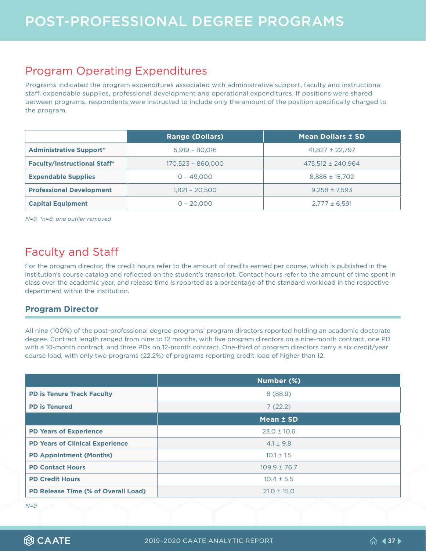### <span id="page-36-0"></span>Program Operating Expenditures

Programs indicated the program expenditures associated with administrative support, faculty and instructional staff, expendable supplies, professional development and operational expenditures. If positions were shared between programs, respondents were instructed to include only the amount of the position specifically charged to the program.

|                                     | <b>Range (Dollars)</b> | <b>Mean Dollars ± SD</b> |
|-------------------------------------|------------------------|--------------------------|
| <b>Administrative Support*</b>      | $5,919 - 80,016$       | $41,827 \pm 22,797$      |
| <b>Faculty/Instructional Staff*</b> | 170,523 - 860,000      | $475,512 \pm 240,964$    |
| <b>Expendable Supplies</b>          | $0 - 49,000$           | $8,886 \pm 15,702$       |
| <b>Professional Development</b>     | 1.821 - 20.500         | $9,258 \pm 7,593$        |
| <b>Capital Equipment</b>            | $0 - 20,000$           | $2,777 \pm 6,591$        |

*N=9, \*n=8; one outlier removed*

### Faculty and Staff

For the program director, the credit hours refer to the amount of credits earned per course, which is published in the institution's course catalog and reflected on the student's transcript. Contact hours refer to the amount of time spent in class over the academic year, and release time is reported as a percentage of the standard workload in the respective department within the institution.

#### **Program Director**

All nine (100%) of the post-professional degree programs' program directors reported holding an academic doctorate degree. Contract length ranged from nine to 12 months, with five program directors on a nine-month contract, one PD with a 10-month contract, and three PDs on 12-month contract. One-third of program directors carry a six credit/year course load, with only two programs (22.2%) of programs reporting credit load of higher than 12.

|                                            | Number (%)       |  |
|--------------------------------------------|------------------|--|
| <b>PD is Tenure Track Faculty</b>          | 8(88.9)          |  |
| <b>PD is Tenured</b>                       | 7(22.2)          |  |
|                                            | Mean ± SD        |  |
| <b>PD Years of Experience</b>              | $23.0 \pm 10.6$  |  |
| <b>PD Years of Clinical Experience</b>     | $4.1 \pm 9.8$    |  |
| <b>PD Appointment (Months)</b>             | $10.1 \pm 1.5$   |  |
| <b>PD Contact Hours</b>                    | $109.9 \pm 76.7$ |  |
| <b>PD Credit Hours</b>                     | $10.4 \pm 5.5$   |  |
| <b>PD Release Time (% of Overall Load)</b> | $21.0 \pm 15.0$  |  |

*N=9*

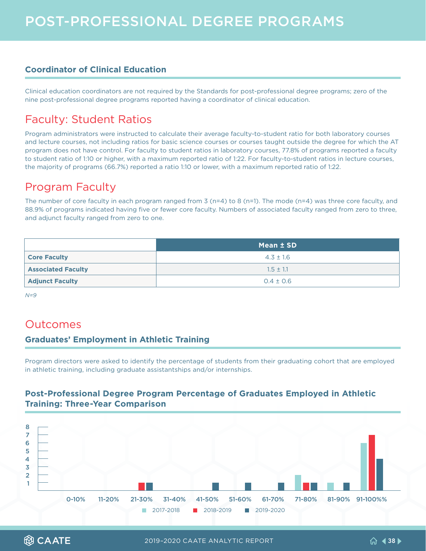#### <span id="page-37-0"></span>**Coordinator of Clinical Education**

Clinical education coordinators are not required by the Standards for post-professional degree programs; zero of the nine post-professional degree programs reported having a coordinator of clinical education.

### Faculty: Student Ratios

Program administrators were instructed to calculate their average faculty-to-student ratio for both laboratory courses and lecture courses, not including ratios for basic science courses or courses taught outside the degree for which the AT program does not have control. For faculty to student ratios in laboratory courses, 77.8% of programs reported a faculty to student ratio of 1:10 or higher, with a maximum reported ratio of 1:22. For faculty-to-student ratios in lecture courses, the majority of programs (66.7%) reported a ratio 1:10 or lower, with a maximum reported ratio of 1:22.

### Program Faculty

The number of core faculty in each program ranged from 3 (n=4) to 8 (n=1). The mode (n=4) was three core faculty, and 88.9% of programs indicated having five or fewer core faculty. Numbers of associated faculty ranged from zero to three, and adjunct faculty ranged from zero to one.

|                           | Mean ± SD     |  |
|---------------------------|---------------|--|
| <b>Core Faculty</b>       | $4.3 \pm 1.6$ |  |
| <b>Associated Faculty</b> | $1.5 \pm 1.1$ |  |
| <b>Adjunct Faculty</b>    | $0.4 \pm 0.6$ |  |

*N=9*

### Outcomes

#### **Graduates' Employment in Athletic Training**

Program directors were asked to identify the percentage of students from their graduating cohort that are employed in athletic training, including graduate assistantships and/or internships.

#### **Post-Professional Degree Program Percentage of Graduates Employed in Athletic Training: Three-Year Comparison**



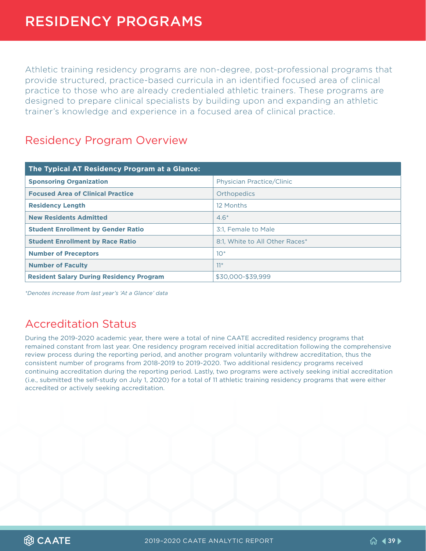<span id="page-38-0"></span>Athletic training residency programs are non-degree, post-professional programs that provide structured, practice-based curricula in an identified focused area of clinical practice to those who are already credentialed athletic trainers. These programs are designed to prepare clinical specialists by building upon and expanding an athletic trainer's knowledge and experience in a focused area of clinical practice.

### Residency Program Overview

| The Typical AT Residency Program at a Glance:   |                                  |  |  |
|-------------------------------------------------|----------------------------------|--|--|
| <b>Sponsoring Organization</b>                  | <b>Physician Practice/Clinic</b> |  |  |
| <b>Focused Area of Clinical Practice</b>        | Orthopedics                      |  |  |
| <b>Residency Length</b>                         | 12 Months                        |  |  |
| <b>New Residents Admitted</b>                   | $4.6*$                           |  |  |
| <b>Student Enrollment by Gender Ratio</b>       | 3:1. Female to Male              |  |  |
| <b>Student Enrollment by Race Ratio</b>         | 8:1. White to All Other Races*   |  |  |
| <b>Number of Preceptors</b>                     | $10*$                            |  |  |
| <b>Number of Faculty</b>                        | $11*$                            |  |  |
| <b>Resident Salary During Residency Program</b> | \$30,000-\$39,999                |  |  |

*\*Denotes increase from last year's 'At a Glance' data*

### Accreditation Status

During the 2019-2020 academic year, there were a total of nine CAATE accredited residency programs that remained constant from last year. One residency program received initial accreditation following the comprehensive review process during the reporting period, and another program voluntarily withdrew accreditation, thus the consistent number of programs from 2018-2019 to 2019-2020. Two additional residency programs received continuing accreditation during the reporting period. Lastly, two programs were actively seeking initial accreditation (i.e., submitted the self-study on July 1, 2020) for a total of 11 athletic training residency programs that were either accredited or actively seeking accreditation.

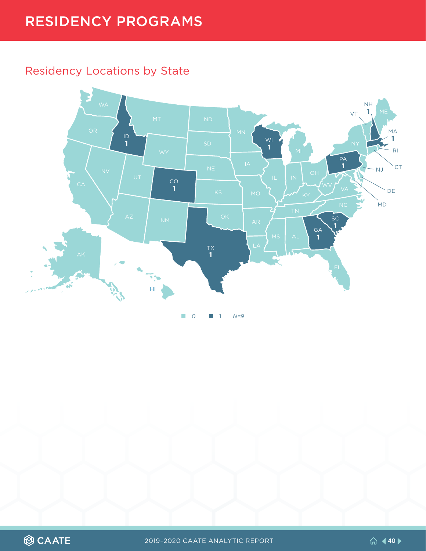### <span id="page-39-0"></span>Residency Locations by State



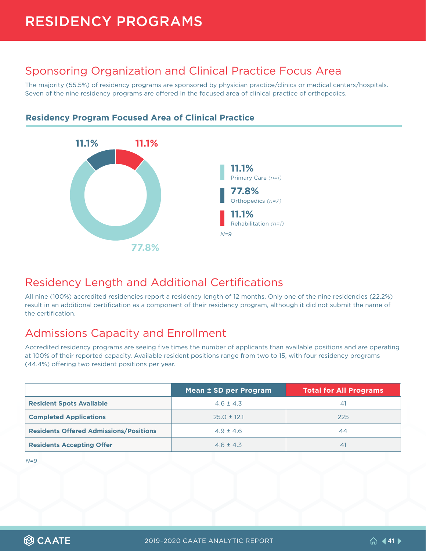# <span id="page-40-0"></span>RESIDENCY PROGRAMS

### Sponsoring Organization and Clinical Practice Focus Area

The majority (55.5%) of residency programs are sponsored by physician practice/clinics or medical centers/hospitals. Seven of the nine residency programs are offered in the focused area of clinical practice of orthopedics.



#### **Residency Program Focused Area of Clinical Practice**

### Residency Length and Additional Certifications

All nine (100%) accredited residencies report a residency length of 12 months. Only one of the nine residencies (22.2%) result in an additional certification as a component of their residency program, although it did not submit the name of the certification.

### Admissions Capacity and Enrollment

Accredited residency programs are seeing five times the number of applicants than available positions and are operating at 100% of their reported capacity. Available resident positions range from two to 15, with four residency programs (44.4%) offering two resident positions per year.

|                                               | Mean ± SD per Program | <b>Total for All Programs</b> |
|-----------------------------------------------|-----------------------|-------------------------------|
| <b>Resident Spots Available</b>               | $4.6 \pm 4.3$         | 41                            |
| <b>Completed Applications</b>                 | $25.0 \pm 12.1$       | 225                           |
| <b>Residents Offered Admissions/Positions</b> | $4.9 + 4.6$           | 44                            |
| <b>Residents Accepting Offer</b>              | $4.6 + 4.3$           | 41                            |

*N=9*

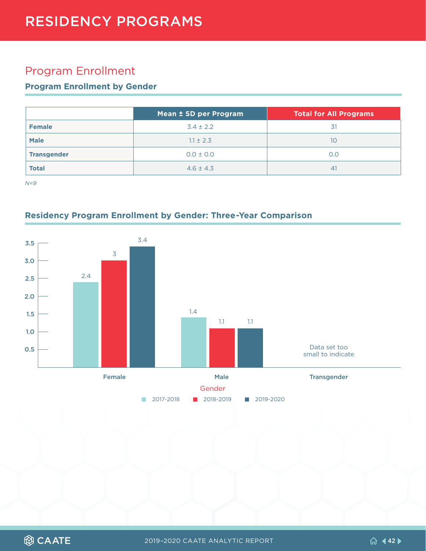### <span id="page-41-0"></span>Program Enrollment

#### **Program Enrollment by Gender**

|                    | Mean ± SD per Program | Total for All Programs |
|--------------------|-----------------------|------------------------|
| <b>Female</b>      | $3.4 \pm 2.2$         | 31                     |
| <b>Male</b>        | $1.1 \pm 2.3$         | 10                     |
| <b>Transgender</b> | $0.0 \pm 0.0$         | O.O                    |
| <b>Total</b>       | $4.6 \pm 4.3$         | 41                     |

*N=9*

#### **Residency Program Enrollment by Gender: Three-Year Comparison**



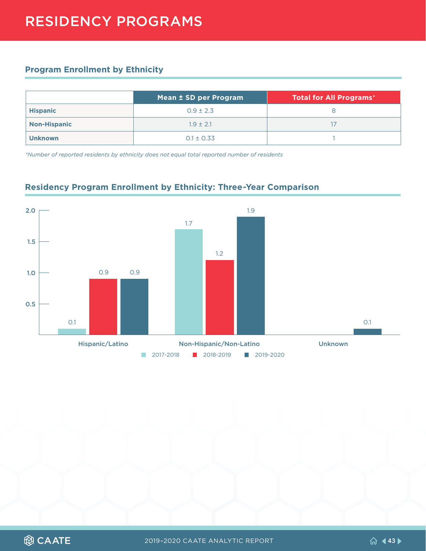#### <span id="page-42-0"></span>**Program Enrollment by Ethnicity**

|                     | Mean ± SD per Program | Total for All Programs* |
|---------------------|-----------------------|-------------------------|
| <b>Hispanic</b>     | $0.9 \pm 2.3$         |                         |
| <b>Non-Hispanic</b> | $1.9 + 2.1$           |                         |
| <b>Unknown</b>      | $0.1 \pm 0.33$        |                         |

*\*Number of reported residents by ethnicity does not equal total reported number of residents*



#### **Residency Program Enrollment by Ethnicity: Three-Year Comparison**

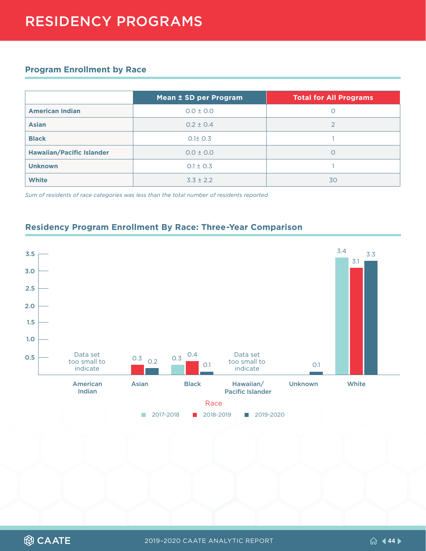#### <span id="page-43-0"></span>**Program Enrollment by Race**

|                                  | Mean ± SD per Program | <b>Total for All Programs</b> |
|----------------------------------|-----------------------|-------------------------------|
| <b>American Indian</b>           | $0.0 \pm 0.0$         |                               |
| <b>Asian</b>                     | $0.2 \pm 0.4$         |                               |
| <b>Black</b>                     | $0.1 \pm 0.3$         |                               |
| <b>Hawaiian/Pacific Islander</b> | $0.0 \pm 0.0$         |                               |
| <b>Unknown</b>                   | $0.1 \pm 0.3$         |                               |
| <b>White</b>                     | $3.3 \pm 2.2$         | 30                            |

*Sum of residents of race categories was less than the total number of residents reported*

#### **Residency Program Enrollment By Race: Three-Year Comparison**

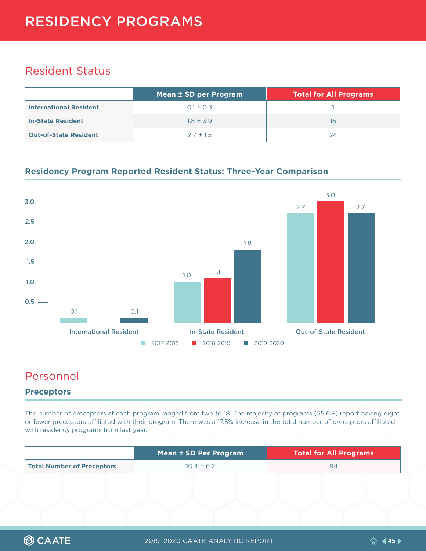# <span id="page-44-0"></span>RESIDENCY PROGRAMS

### Resident Status

|                               | Mean ± SD per Program | <b>Total for All Programs</b> |
|-------------------------------|-----------------------|-------------------------------|
| <b>International Resident</b> | $0.1 \pm 0.3$         |                               |
| <b>In-State Resident</b>      | $1.8 + 3.9$           | 16                            |
| <b>Out-of-State Resident</b>  | $2.7 + 1.5$           | 24                            |

#### **Residency Program Reported Resident Status: Three-Year Comparison**



### Personnel

#### **Preceptors**

The number of preceptors at each program ranged from two to 18. The majority of programs (55.6%) report having eight or fewer preceptors affiliated with their program. There was a 17.5% increase in the total number of preceptors affiliated with residency programs from last year.

|                            | Mean ± SD Per Program | <b>Total for All Programs</b> |
|----------------------------|-----------------------|-------------------------------|
| Total Number of Preceptors | $10.4 \pm 6.2$        | 94                            |

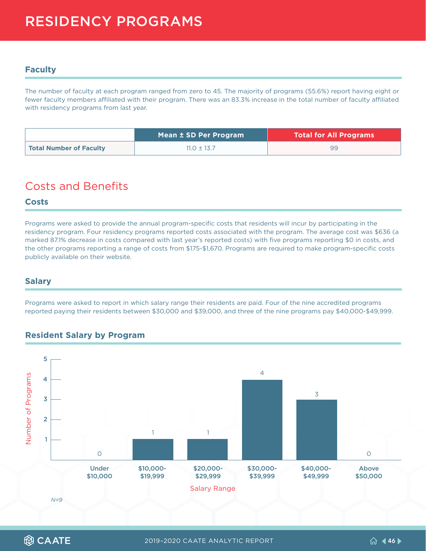#### <span id="page-45-0"></span>**Faculty**

The number of faculty at each program ranged from zero to 45. The majority of programs (55.6%) report having eight or fewer faculty members affiliated with their program. There was an 83.3% increase in the total number of faculty affiliated with residency programs from last year.

|                         | Mean ± SD Per Program | <b>Total for All Programs</b> |
|-------------------------|-----------------------|-------------------------------|
| Total Number of Faculty | $11.0 \pm 13.7$       | 99                            |

### Costs and Benefits

#### **Costs**

Programs were asked to provide the annual program-specific costs that residents will incur by participating in the residency program. Four residency programs reported costs associated with the program. The average cost was \$636 (a marked 87.1% decrease in costs compared with last year's reported costs) with five programs reporting \$0 in costs, and the other programs reporting a range of costs from \$175-\$1,670. Programs are required to make program-specific costs publicly available on their website.

#### **Salary**

Programs were asked to report in which salary range their residents are paid. Four of the nine accredited programs reported paying their residents between \$30,000 and \$39,000, and three of the nine programs pay \$40,000-\$49,999.

#### **Resident Salary by Program**



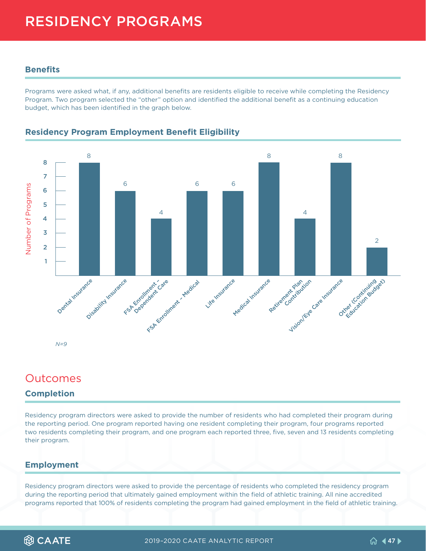# <span id="page-46-0"></span>RESIDENCY PROGRAMS

#### **Benefits**

Programs were asked what, if any, additional benefits are residents eligible to receive while completing the Residency Program. Two program selected the "other" option and identified the additional benefit as a continuing education budget, which has been identified in the graph below.



#### **Residency Program Employment Benefit Eligibility**

### Outcomes

#### **Completion**

Residency program directors were asked to provide the number of residents who had completed their program during the reporting period. One program reported having one resident completing their program, four programs reported two residents completing their program, and one program each reported three, five, seven and 13 residents completing their program.

#### **Employment**

Residency program directors were asked to provide the percentage of residents who completed the residency program during the reporting period that ultimately gained employment within the field of athletic training. All nine accredited programs reported that 100% of residents completing the program had gained employment in the field of athletic training.

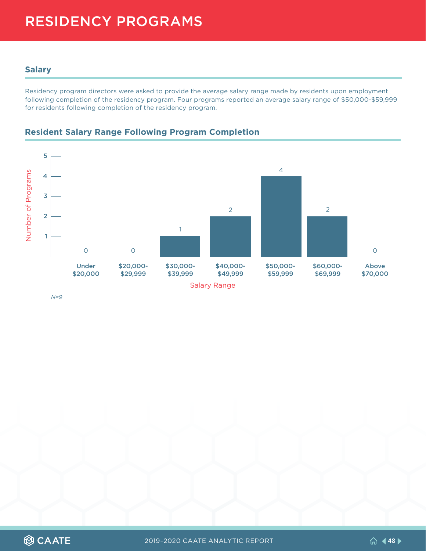# <span id="page-47-0"></span>RESIDENCY PROGRAMS

#### **Salary**

Residency program directors were asked to provide the average salary range made by residents upon employment following completion of the residency program. Four programs reported an average salary range of \$50,000-\$59,999 for residents following completion of the residency program.



#### **Resident Salary Range Following Program Completion**

*N=9*